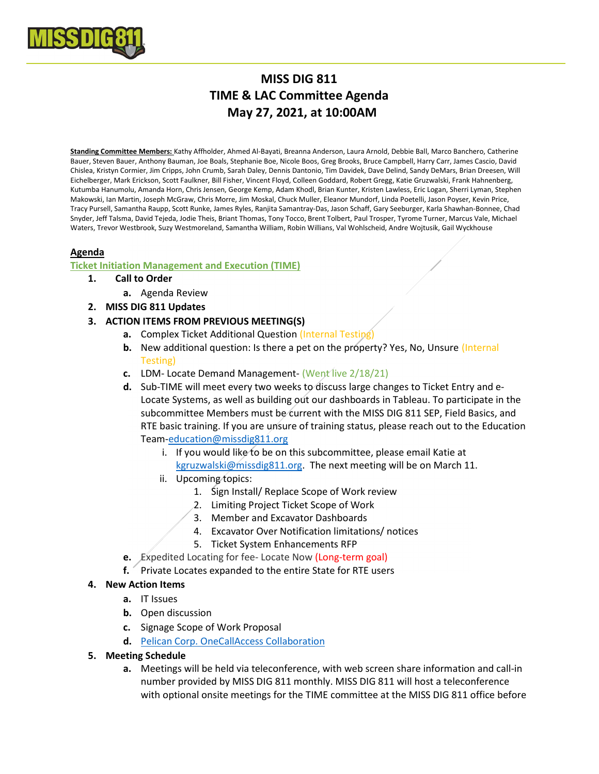

# MISS DIG 811 TIME & LAC Committee Agenda May 27, 2021, at 10:00AM

Standing Committee Members: Kathy Affholder, Ahmed Al-Bayati, Breanna Anderson, Laura Arnold, Debbie Ball, Marco Banchero, Catherine Bauer, Steven Bauer, Anthony Bauman, Joe Boals, Stephanie Boe, Nicole Boos, Greg Brooks, Bruce Campbell, Harry Carr, James Cascio, David Chislea, Kristyn Cormier, Jim Cripps, John Crumb, Sarah Daley, Dennis Dantonio, Tim Davidek, Dave Delind, Sandy DeMars, Brian Dreesen, Will Eichelberger, Mark Erickson, Scott Faulkner, Bill Fisher, Vincent Floyd, Colleen Goddard, Robert Gregg, Katie Gruzwalski, Frank Hahnenberg, Kutumba Hanumolu, Amanda Horn, Chris Jensen, George Kemp, Adam Khodl, Brian Kunter, Kristen Lawless, Eric Logan, Sherri Lyman, Stephen Makowski, Ian Martin, Joseph McGraw, Chris Morre, Jim Moskal, Chuck Muller, Eleanor Mundorf, Linda Poetelli, Jason Poyser, Kevin Price, Tracy Pursell, Samantha Raupp, Scott Runke, James Ryles, Ranjita Samantray-Das, Jason Schaff, Gary Seeburger, Karla Shawhan-Bonnee, Chad Snyder, Jeff Talsma, David Tejeda, Jodie Theis, Briant Thomas, Tony Tocco, Brent Tolbert, Paul Trosper, Tyrome Turner, Marcus Vale, Michael Waters, Trevor Westbrook, Suzy Westmoreland, Samantha William, Robin Willians, Val Wohlscheid, Andre Wojtusik, Gail Wyckhouse

## Agenda

## Ticket Initiation Management and Execution (TIME)

## 1. Call to Order

- a. Agenda Review
- 2. MISS DIG 811 Updates
- 3. ACTION ITEMS FROM PREVIOUS MEETING(S)
	- a. Complex Ticket Additional Question (Internal Testing)
	- **b.** New additional question: Is there a pet on the property? Yes, No, Unsure (Internal Testing)
	- c. LDM- Locate Demand Management- (Went live 2/18/21)
	- d. Sub-TIME will meet every two weeks to discuss large changes to Ticket Entry and e-Locate Systems, as well as building out our dashboards in Tableau. To participate in the subcommittee Members must be current with the MISS DIG 811 SEP, Field Basics, and RTE basic training. If you are unsure of training status, please reach out to the Education Team-education@missdig811.org
		- i. If you would like to be on this subcommittee, please email Katie at kgruzwalski@missdig811.org. The next meeting will be on March 11.
		- ii. Upcoming topics:
			- 1. Sign Install/ Replace Scope of Work review
			- 2. Limiting Project Ticket Scope of Work
			- 3. Member and Excavator Dashboards
			- 4. Excavator Over Notification limitations/ notices
			- 5. Ticket System Enhancements RFP
	- e. Expedited Locating for fee- Locate Now (Long-term goal)
	- f. Private Locates expanded to the entire State for RTE users

## 4. New Action Items

- a. IT Issues
- **b.** Open discussion
- c. Signage Scope of Work Proposal
- d. Pelican Corp. OneCallAccess Collaboration
- 5. Meeting Schedule
	- a. Meetings will be held via teleconference, with web screen share information and call-in number provided by MISS DIG 811 monthly. MISS DIG 811 will host a teleconference with optional onsite meetings for the TIME committee at the MISS DIG 811 office before